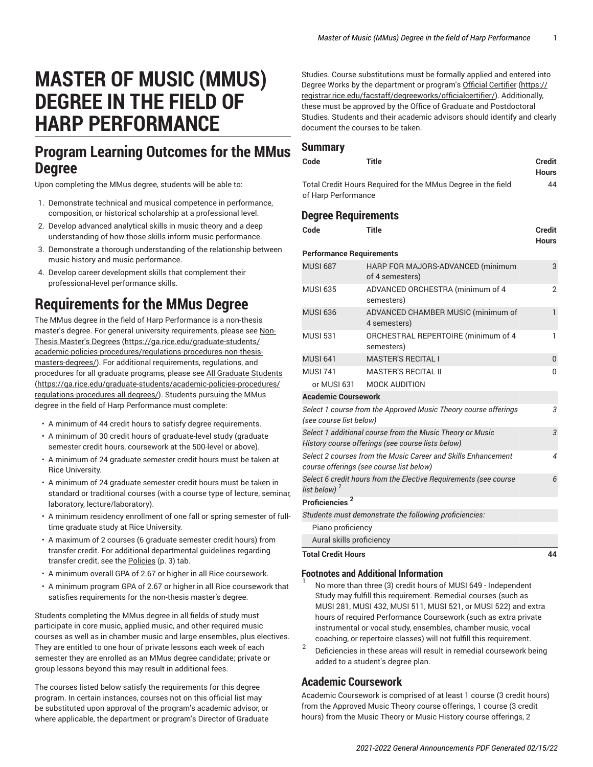# **MASTER OF MUSIC (MMUS) DEGREE IN THE FIELD OF HARP PERFORMANCE**

## **Program Learning Outcomes for the MMus Degree**

Upon completing the MMus degree, students will be able to:

- 1. Demonstrate technical and musical competence in performance, composition, or historical scholarship at a professional level.
- 2. Develop advanced analytical skills in music theory and a deep understanding of how those skills inform music performance.
- 3. Demonstrate a thorough understanding of the relationship between music history and music performance.
- 4. Develop career development skills that complement their professional-level performance skills.

## **Requirements for the MMus Degree**

The MMus degree in the field of Harp Performance is a non-thesis master's degree. For general university requirements, please see [Non-](https://ga.rice.edu/graduate-students/academic-policies-procedures/regulations-procedures-non-thesis-masters-degrees/)Thesis [Master's](https://ga.rice.edu/graduate-students/academic-policies-procedures/regulations-procedures-non-thesis-masters-degrees/) Degrees ([https://ga.rice.edu/graduate-students/](https://ga.rice.edu/graduate-students/academic-policies-procedures/regulations-procedures-non-thesis-masters-degrees/) [academic-policies-procedures/regulations-procedures-non-thesis](https://ga.rice.edu/graduate-students/academic-policies-procedures/regulations-procedures-non-thesis-masters-degrees/)[masters-degrees/\)](https://ga.rice.edu/graduate-students/academic-policies-procedures/regulations-procedures-non-thesis-masters-degrees/). For additional requirements, regulations, and procedures for all graduate programs, please see [All Graduate Students](https://ga.rice.edu/graduate-students/academic-policies-procedures/regulations-procedures-all-degrees/) ([https://ga.rice.edu/graduate-students/academic-policies-procedures/](https://ga.rice.edu/graduate-students/academic-policies-procedures/regulations-procedures-all-degrees/) [regulations-procedures-all-degrees/\)](https://ga.rice.edu/graduate-students/academic-policies-procedures/regulations-procedures-all-degrees/). Students pursuing the MMus degree in the field of Harp Performance must complete:

- A minimum of 44 credit hours to satisfy degree requirements.
- A minimum of 30 credit hours of graduate-level study (graduate semester credit hours, coursework at the 500-level or above).
- A minimum of 24 graduate semester credit hours must be taken at Rice University.
- A minimum of 24 graduate semester credit hours must be taken in standard or traditional courses (with a course type of lecture, seminar, laboratory, lecture/laboratory).
- A minimum residency enrollment of one fall or spring semester of fulltime graduate study at Rice University.
- A maximum of 2 courses (6 graduate semester credit hours) from transfer credit. For additional departmental guidelines regarding transfer credit, see the [Policies \(p. 3](#page-2-0)) tab.
- A minimum overall GPA of 2.67 or higher in all Rice coursework.
- A minimum program GPA of 2.67 or higher in all Rice coursework that satisfies requirements for the non-thesis master's degree.

Students completing the MMus degree in all fields of study must participate in core music, applied music, and other required music courses as well as in chamber music and large ensembles, plus electives. They are entitled to one hour of private lessons each week of each semester they are enrolled as an MMus degree candidate; private or group lessons beyond this may result in additional fees.

The courses listed below satisfy the requirements for this degree program. In certain instances, courses not on this official list may be substituted upon approval of the program's academic advisor, or where applicable, the department or program's Director of Graduate

Studies. Course substitutions must be formally applied and entered into Degree Works by the department or program's Official [Certifier \(https://](https://registrar.rice.edu/facstaff/degreeworks/officialcertifier/) [registrar.rice.edu/facstaff/degreeworks/officialcertifier/](https://registrar.rice.edu/facstaff/degreeworks/officialcertifier/)). Additionally, these must be approved by the Office of Graduate and Postdoctoral Studies. Students and their academic advisors should identify and clearly document the courses to be taken.

### **Summary**

| Code                | Title | Credit<br><b>Hours</b> |
|---------------------|-------|------------------------|
|                     |       |                        |
| of Harp Performance |       |                        |

## **Degree Requirements**

| Code                                                                                                           | <b>Title</b>                                           | <b>Credit</b><br><b>Hours</b> |
|----------------------------------------------------------------------------------------------------------------|--------------------------------------------------------|-------------------------------|
| <b>Performance Requirements</b>                                                                                |                                                        |                               |
| <b>MUSI 687</b>                                                                                                | HARP FOR MAJORS-ADVANCED (minimum<br>of 4 semesters)   | 3                             |
| <b>MUSI 635</b>                                                                                                | ADVANCED ORCHESTRA (minimum of 4<br>semesters)         | $\overline{2}$                |
| <b>MUSI 636</b>                                                                                                | ADVANCED CHAMBER MUSIC (minimum of<br>4 semesters)     | $\mathbf{1}$                  |
| <b>MUSI 531</b>                                                                                                | ORCHESTRAL REPERTOIRE (minimum of 4<br>semesters)      | 1                             |
| <b>MUSI 641</b>                                                                                                | <b>MASTER'S RECITAL I</b>                              | $\overline{0}$                |
| <b>MUSI 741</b>                                                                                                | <b>MASTER'S RECITAL II</b>                             | 0                             |
|                                                                                                                | or MUSI 631 MOCK AUDITION                              |                               |
| <b>Academic Coursework</b>                                                                                     |                                                        |                               |
| Select 1 course from the Approved Music Theory course offerings<br>(see course list below)                     |                                                        |                               |
| Select 1 additional course from the Music Theory or Music<br>History course offerings (see course lists below) |                                                        |                               |
| Select 2 courses from the Music Career and Skills Enhancement<br>course offerings (see course list below)      |                                                        |                               |
| Select 6 credit hours from the Elective Requirements (see course<br>list below)                                |                                                        |                               |
| Proficiencies <sup>2</sup>                                                                                     |                                                        |                               |
|                                                                                                                | Students must demonstrate the following proficiencies: |                               |
| Piano proficiency                                                                                              |                                                        |                               |
| Aural skills proficiency                                                                                       |                                                        |                               |
| <b>Total Credit Hours</b>                                                                                      |                                                        | 44                            |

#### **Footnotes and Additional Information** 1

No more than three (3) credit hours of MUSI 649 - Independent Study may fulfill this requirement. Remedial courses (such as MUSI 281, MUSI 432, MUSI 511, MUSI 521, or MUSI 522) and extra hours of required Performance Coursework (such as extra private instrumental or vocal study, ensembles, chamber music, vocal coaching, or repertoire classes) will not fulfill this requirement.

2 Deficiencies in these areas will result in remedial coursework being added to a student's degree plan.

## **Academic Coursework**

Academic Coursework is comprised of at least 1 course (3 credit hours) from the Approved Music Theory course offerings, 1 course (3 credit hours) from the Music Theory or Music History course offerings, 2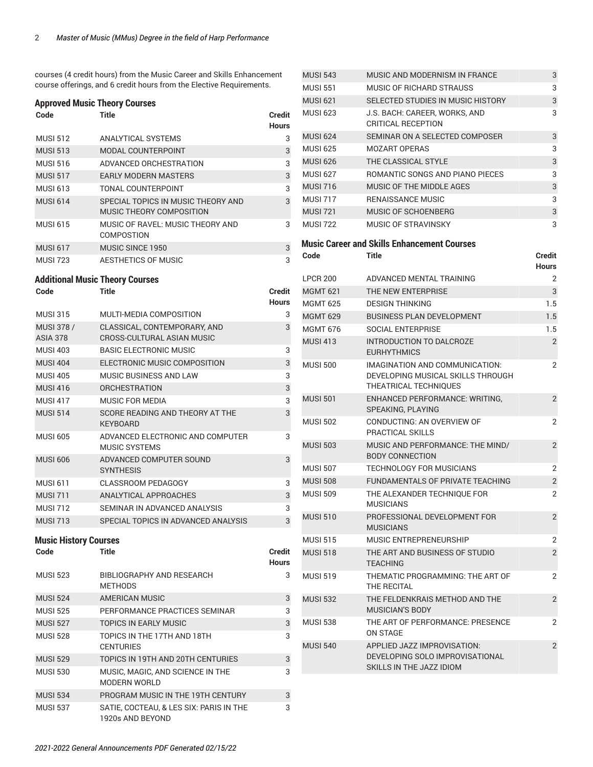courses (4 credit hours) from the Music Career and Skills Enhancement course offerings, and 6 credit hours from the Elective Requirements.

#### **Approved Music Theory Courses**

| Code                                   | Title                                                          | Credit<br>Hours        |
|----------------------------------------|----------------------------------------------------------------|------------------------|
| <b>MUSI 512</b>                        | <b>ANALYTICAL SYSTEMS</b>                                      | 3                      |
| <b>MUSI 513</b>                        | <b>MODAL COUNTERPOINT</b>                                      | 3                      |
| <b>MUSI 516</b>                        | ADVANCED ORCHESTRATION                                         | 3                      |
| <b>MUSI 517</b>                        | <b>EARLY MODERN MASTERS</b>                                    | 3                      |
| <b>MUSI 613</b>                        | <b>TONAL COUNTERPOINT</b>                                      | 3                      |
| <b>MUSI 614</b>                        | SPECIAL TOPICS IN MUSIC THEORY AND<br>MUSIC THEORY COMPOSITION | 3                      |
| <b>MUSI 615</b>                        | MUSIC OF RAVEL: MUSIC THEORY AND<br><b>COMPOSTION</b>          | 3                      |
| <b>MUSI 617</b>                        | <b>MUSIC SINCE 1950</b>                                        | 3                      |
| <b>MUSI 723</b>                        | <b>AESTHETICS OF MUSIC</b>                                     | 3                      |
| <b>Additional Music Theory Courses</b> |                                                                |                        |
| Code                                   | <b>Title</b>                                                   | Credit<br>Hours        |
| <b>MUSI 315</b>                        | MULTI-MEDIA COMPOSITION                                        | 3                      |
| MUSI 378 /<br><b>ASIA 378</b>          | CLASSICAL, CONTEMPORARY, AND<br>CROSS-CULTURAL ASIAN MUSIC     | 3                      |
| <b>MUSI 403</b>                        | <b>BASIC ELECTRONIC MUSIC</b>                                  | 3                      |
| <b>MUSI 404</b>                        | ELECTRONIC MUSIC COMPOSITION                                   | 3                      |
| <b>MUSI 405</b>                        | <b>MUSIC BUSINESS AND LAW</b>                                  | 3                      |
| <b>MUSI 416</b>                        | <b>ORCHESTRATION</b>                                           | 3                      |
| <b>MUSI 417</b>                        | MUSIC FOR MEDIA                                                | 3                      |
| <b>MUSI 514</b>                        | SCORE READING AND THEORY AT THE<br><b>KEYBOARD</b>             | 3                      |
| <b>MUSI 605</b>                        | ADVANCED ELECTRONIC AND COMPUTER<br><b>MUSIC SYSTEMS</b>       | 3                      |
| <b>MUSI 606</b>                        | ADVANCED COMPUTER SOUND<br><b>SYNTHESIS</b>                    | 3                      |
| <b>MUSI 611</b>                        | <b>CLASSROOM PEDAGOGY</b>                                      | 3                      |
| <b>MUSI 711</b>                        | ANALYTICAL APPROACHES                                          | 3                      |
| <b>MUSI 712</b>                        | SEMINAR IN ADVANCED ANALYSIS                                   | 3                      |
| <b>MUSI 713</b>                        | SPECIAL TOPICS IN ADVANCED ANALYSIS                            | 3                      |
| <b>Music History Courses</b>           |                                                                |                        |
| Code                                   | Title                                                          | Credit<br><b>Hours</b> |
| MUSI 523                               | BIBLIOGRAPHY AND RESEARCH<br><b>METHODS</b>                    | 3                      |
| <b>MUSI 524</b>                        | <b>AMERICAN MUSIC</b>                                          | 3                      |
| <b>MUSI 525</b>                        | PERFORMANCE PRACTICES SEMINAR                                  | 3                      |
| <b>MUSI 527</b>                        | <b>TOPICS IN EARLY MUSIC</b>                                   | 3                      |
| <b>MUSI 528</b>                        | TOPICS IN THE 17TH AND 18TH<br><b>CENTURIES</b>                | 3                      |
| <b>MUSI 529</b>                        | TOPICS IN 19TH AND 20TH CENTURIES                              | 3                      |
| <b>MUSI 530</b>                        | MUSIC, MAGIC, AND SCIENCE IN THE<br><b>MODERN WORLD</b>        | 3                      |
| <b>MUSI 534</b>                        | PROGRAM MUSIC IN THE 19TH CENTURY                              | 3                      |
| <b>MUSI 537</b>                        | SATIE, COCTEAU, & LES SIX: PARIS IN THE<br>1920s AND BEYOND    | 3                      |

| <b>MUSI 543</b> | MUSIC AND MODERNISM IN FRANCE                                                                | 3                      |
|-----------------|----------------------------------------------------------------------------------------------|------------------------|
| <b>MUSI 551</b> | MUSIC OF RICHARD STRAUSS                                                                     | 3                      |
| <b>MUSI 621</b> | SELECTED STUDIES IN MUSIC HISTORY                                                            | 3                      |
| <b>MUSI 623</b> | J.S. BACH: CAREER, WORKS, AND<br><b>CRITICAL RECEPTION</b>                                   | 3                      |
| <b>MUSI 624</b> | SEMINAR ON A SELECTED COMPOSER                                                               | 3                      |
| <b>MUSI 625</b> | <b>MOZART OPERAS</b>                                                                         | 3                      |
| <b>MUSI 626</b> | THE CLASSICAL STYLE                                                                          | 3                      |
| <b>MUSI 627</b> | ROMANTIC SONGS AND PIANO PIECES                                                              | 3                      |
| <b>MUSI 716</b> | MUSIC OF THE MIDDLE AGES                                                                     | 3                      |
| <b>MUSI 717</b> | <b>RENAISSANCE MUSIC</b>                                                                     | 3                      |
| <b>MUSI 721</b> | MUSIC OF SCHOENBERG                                                                          | 3                      |
| <b>MUSI 722</b> | MUSIC OF STRAVINSKY                                                                          | 3                      |
|                 | <b>Music Career and Skills Enhancement Courses</b>                                           |                        |
| Code            | Title                                                                                        | Credit<br><b>Hours</b> |
| <b>LPCR 200</b> | ADVANCED MENTAL TRAINING                                                                     | 2                      |
| <b>MGMT 621</b> | THE NEW ENTERPRISE                                                                           | 3                      |
| <b>MGMT 625</b> | <b>DESIGN THINKING</b>                                                                       | 1.5                    |
| <b>MGMT 629</b> | <b>BUSINESS PLAN DEVELOPMENT</b>                                                             | 1.5                    |
| <b>MGMT 676</b> | SOCIAL ENTERPRISE                                                                            | 1.5                    |
| <b>MUSI 413</b> | INTRODUCTION TO DALCROZE<br><b>EURHYTHMICS</b>                                               | $\overline{2}$         |
| <b>MUSI 500</b> | IMAGINATION AND COMMUNICATION:<br>DEVELOPING MUSICAL SKILLS THROUGH<br>THEATRICAL TECHNIQUES | 2                      |
| <b>MUSI 501</b> | <b>ENHANCED PERFORMANCE: WRITING,</b><br>SPEAKING, PLAYING                                   | 2                      |
| <b>MUSI 502</b> | CONDUCTING: AN OVERVIEW OF<br><b>PRACTICAL SKILLS</b>                                        | 2                      |
| <b>MUSI 503</b> | MUSIC AND PERFORMANCE: THE MIND/<br><b>BODY CONNECTION</b>                                   | 2                      |
| <b>MUSI 507</b> | <b>TECHNOLOGY FOR MUSICIANS</b>                                                              | 2                      |
| <b>MUSI 508</b> | FUNDAMENTALS OF PRIVATE TEACHING                                                             | $\overline{2}$         |
| <b>MUSI 509</b> | THE ALEXANDER TECHNIQUE FOR<br>MUSICIANS                                                     | 2                      |
| <b>MUSI 510</b> | PROFESSIONAL DEVELOPMENT FOR<br>MUSICIANS                                                    | 2                      |
| <b>MUSI 515</b> | MUSIC ENTREPRENEURSHIP                                                                       | 2                      |
| <b>MUSI 518</b> | THE ART AND BUSINESS OF STUDIO<br><b>TEACHING</b>                                            | $\overline{2}$         |
| <b>MUSI 519</b> | THEMATIC PROGRAMMING: THE ART OF<br>THE RECITAL                                              | 2                      |
| <b>MUSI 532</b> | THE FELDENKRAIS METHOD AND THE<br><b>MUSICIAN'S BODY</b>                                     | 2                      |
| <b>MUSI 538</b> | THE ART OF PERFORMANCE: PRESENCE<br><b>ON STAGE</b>                                          | 2                      |
| <b>MUSI 540</b> | APPLIED JAZZ IMPROVISATION:<br>DEVELOPING SOLO IMPROVISATIONAL<br>SKILLS IN THE JAZZ IDIOM   | 2                      |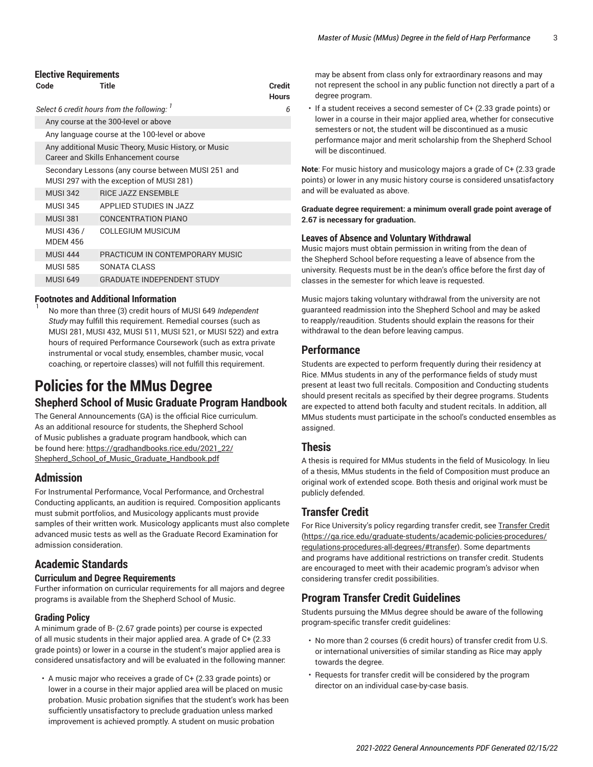#### **Elective Requirements**

| Code                                      | Title                                                                                          | <b>Credit</b><br><b>Hours</b> |  |  |
|-------------------------------------------|------------------------------------------------------------------------------------------------|-------------------------------|--|--|
| Select 6 credit hours from the following: | 6                                                                                              |                               |  |  |
|                                           | Any course at the 300-level or above                                                           |                               |  |  |
|                                           | Any language course at the 100-level or above                                                  |                               |  |  |
|                                           | Any additional Music Theory, Music History, or Music<br>Career and Skills Enhancement course   |                               |  |  |
|                                           | Secondary Lessons (any course between MUSI 251 and<br>MUSI 297 with the exception of MUSI 281) |                               |  |  |
| <b>MUSI 342</b>                           | <b>RICE JAZZ ENSEMBLE</b>                                                                      |                               |  |  |
| <b>MUSI 345</b>                           | APPLIED STUDIES IN JAZZ                                                                        |                               |  |  |
| <b>MUSI 381</b>                           | <b>CONCENTRATION PIANO</b>                                                                     |                               |  |  |
| MUSI 436 /<br><b>MDEM 456</b>             | COLLEGIUM MUSICUM                                                                              |                               |  |  |
| <b>MUSI 444</b>                           | PRACTICUM IN CONTEMPORARY MUSIC                                                                |                               |  |  |
| <b>MUSI 585</b>                           | SONATA CLASS                                                                                   |                               |  |  |
| <b>MUSI 649</b>                           | <b>GRADUATE INDEPENDENT STUDY</b>                                                              |                               |  |  |

#### **Footnotes and Additional Information** 1

No more than three (3) credit hours of MUSI 649 *Independent Study* may fulfill this requirement. Remedial courses (such as MUSI 281, MUSI 432, MUSI 511, MUSI 521, or MUSI 522) and extra hours of required Performance Coursework (such as extra private instrumental or vocal study, ensembles, chamber music, vocal coaching, or repertoire classes) will not fulfill this requirement.

## <span id="page-2-0"></span>**Policies for the MMus Degree Shepherd School of Music Graduate Program Handbook**

The General Announcements (GA) is the official Rice curriculum. As an additional resource for students, the Shepherd School of Music publishes a graduate program handbook, which can be found here: [https://gradhandbooks.rice.edu/2021\\_22/](https://gradhandbooks.rice.edu/2021_22/Shepherd_School_of_Music_Graduate_Handbook.pdf) [Shepherd\\_School\\_of\\_Music\\_Graduate\\_Handbook.pdf](https://gradhandbooks.rice.edu/2021_22/Shepherd_School_of_Music_Graduate_Handbook.pdf)

## **Admission**

For Instrumental Performance, Vocal Performance, and Orchestral Conducting applicants, an audition is required. Composition applicants must submit portfolios, and Musicology applicants must provide samples of their written work. Musicology applicants must also complete advanced music tests as well as the Graduate Record Examination for admission consideration.

## **Academic Standards**

#### **Curriculum and Degree Requirements**

Further information on curricular requirements for all majors and degree programs is available from the Shepherd School of Music.

#### **Grading Policy**

A minimum grade of B- (2.67 grade points) per course is expected of all music students in their major applied area. A grade of C+ (2.33 grade points) or lower in a course in the student's major applied area is considered unsatisfactory and will be evaluated in the following manner:

• A music major who receives a grade of C+ (2.33 grade points) or lower in a course in their major applied area will be placed on music probation. Music probation signifies that the student's work has been sufficiently unsatisfactory to preclude graduation unless marked improvement is achieved promptly. A student on music probation

may be absent from class only for extraordinary reasons and may not represent the school in any public function not directly a part of a degree program.

• If a student receives a second semester of C+ (2.33 grade points) or lower in a course in their major applied area, whether for consecutive semesters or not, the student will be discontinued as a music performance major and merit scholarship from the Shepherd School will be discontinued.

**Note**: For music history and musicology majors a grade of C+ (2.33 grade points) or lower in any music history course is considered unsatisfactory and will be evaluated as above.

**Graduate degree requirement: a minimum overall grade point average of 2.67 is necessary for graduation.**

#### **Leaves of Absence and Voluntary Withdrawal**

Music majors must obtain permission in writing from the dean of the Shepherd School before requesting a leave of absence from the university. Requests must be in the dean's office before the first day of classes in the semester for which leave is requested.

Music majors taking voluntary withdrawal from the university are not guaranteed readmission into the Shepherd School and may be asked to reapply/reaudition. Students should explain the reasons for their withdrawal to the dean before leaving campus.

### **Performance**

Students are expected to perform frequently during their residency at Rice. MMus students in any of the performance fields of study must present at least two full recitals. Composition and Conducting students should present recitals as specified by their degree programs. Students are expected to attend both faculty and student recitals. In addition, all MMus students must participate in the school's conducted ensembles as assigned.

### **Thesis**

A thesis is required for MMus students in the field of Musicology. In lieu of a thesis, MMus students in the field of Composition must produce an original work of extended scope. Both thesis and original work must be publicly defended.

## **Transfer Credit**

For Rice University's policy regarding transfer credit, see [Transfer](https://ga.rice.edu/graduate-students/academic-policies-procedures/regulations-procedures-all-degrees/#transfer) Credit [\(https://ga.rice.edu/graduate-students/academic-policies-procedures/](https://ga.rice.edu/graduate-students/academic-policies-procedures/regulations-procedures-all-degrees/#transfer) [regulations-procedures-all-degrees/#transfer](https://ga.rice.edu/graduate-students/academic-policies-procedures/regulations-procedures-all-degrees/#transfer)). Some departments and programs have additional restrictions on transfer credit. Students are encouraged to meet with their academic program's advisor when considering transfer credit possibilities.

## **Program Transfer Credit Guidelines**

Students pursuing the MMus degree should be aware of the following program-specific transfer credit guidelines:

- No more than 2 courses (6 credit hours) of transfer credit from U.S. or international universities of similar standing as Rice may apply towards the degree.
- Requests for transfer credit will be considered by the program director on an individual case-by-case basis.